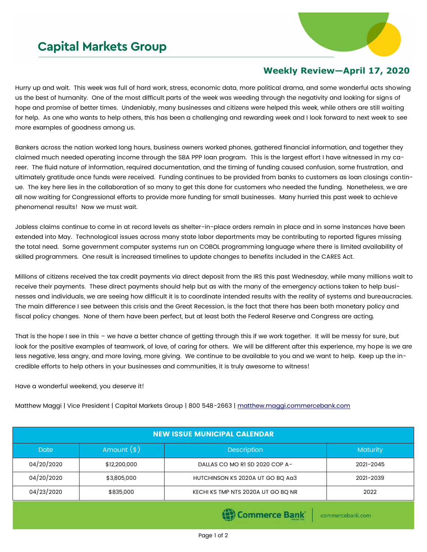## **Capital Markets Group**



## **Weekly Review—April 17, 2020**

Hurry up and wait. This week was full of hard work, stress, economic data, more political drama, and some wonderful acts showing us the best of humanity. One of the most difficult parts of the week was weeding through the negativity and looking for signs of hope and promise of better times. Undeniably, many businesses and citizens were helped this week, while others are still waiting for help. As one who wants to help others, this has been a challenging and rewarding week and I look forward to next week to see more examples of goodness among us.

Bankers across the nation worked long hours, business owners worked phones, gathered financial information, and together they claimed much needed operating income through the SBA PPP loan program. This is the largest effort I have witnessed in my career. The fluid nature of information, required documentation, and the timing of funding caused confusion, some frustration, and ultimately gratitude once funds were received. Funding continues to be provided from banks to customers as loan closings continue. The key here lies in the collaboration of so many to get this done for customers who needed the funding. Nonetheless, we are all now waiting for Congressional efforts to provide more funding for small businesses. Many hurried this past week to achieve phenomenal results! Now we must wait.

Jobless claims continue to come in at record levels as shelter-in-place orders remain in place and in some instances have been extended into May. Technological issues across many state labor departments may be contributing to reported figures missing the total need. Some government computer systems run on COBOL programming language where there is limited availability of skilled programmers. One result is increased timelines to update changes to benefits included in the CARES Act.

Millions of citizens received the tax credit payments via direct deposit from the IRS this past Wednesday, while many millions wait to receive their payments. These direct payments should help but as with the many of the emergency actions taken to help businesses and individuals, we are seeing how difficult it is to coordinate intended results with the reality of systems and bureaucracies. The main difference I see between this crisis and the Great Recession, is the fact that there has been both monetary policy and fiscal policy changes. None of them have been perfect, but at least both the Federal Reserve and Congress are acting.

That is the hope I see in this – we have a better chance of getting through this if we work together. It will be messy for sure, but look for the positive examples of teamwork, of love, of caring for others. We will be different after this experience, my hope is we are less negative, less angry, and more loving, more giving. We continue to be available to you and we want to help. Keep up the incredible efforts to help others in your businesses and communities, it is truly awesome to witness!

Have a wonderful weekend, you deserve it!

Matthew Maggi | Vice President | Capital Markets Group | 800 548-2663 | [matthew.maggi.commercebank.com](mailto:matthew.maggi@commercebank.com)

| <b>NEW ISSUE MUNICIPAL CALENDAR</b> |              |                                    |                 |  |  |
|-------------------------------------|--------------|------------------------------------|-----------------|--|--|
| <b>Date</b>                         | Amount $(*)$ | <b>Description</b>                 | <b>Maturity</b> |  |  |
| 04/20/2020                          | \$12,200,000 | DALLAS CO MO RI SD 2020 COP A-     | 2021-2045       |  |  |
| 04/20/2020                          | \$3,805,000  | HUTCHINSON KS 2020A UT GO BO AG3   | 2021-2039       |  |  |
| 04/23/2020                          | \$835,000    | KECHI KS TMP NTS 2020A UT GO BO NR | 2022            |  |  |

(B) Commerce Bank

commercebank.com